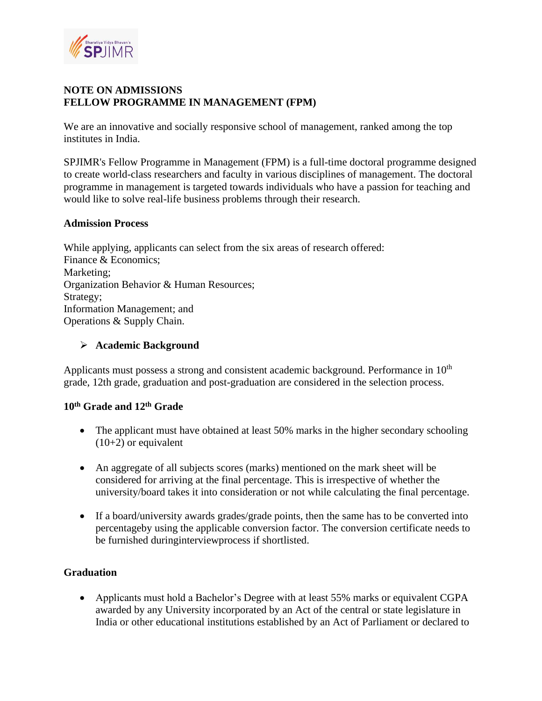

## **NOTE ON ADMISSIONS FELLOW PROGRAMME IN MANAGEMENT (FPM)**

We are an innovative and socially responsive school of management, ranked among the top institutes in India.

SPJIMR's Fellow Programme in Management (FPM) is a full-time doctoral programme designed to create world-class researchers and faculty in various disciplines of management. The doctoral programme in management is targeted towards individuals who have a passion for teaching and would like to solve real-life business problems through their research.

#### **Admission Process**

While applying, applicants can select from the six areas of research offered: Finance & Economics; Marketing; Organization Behavior & Human Resources; Strategy; Information Management; and Operations & Supply Chain.

#### ➢ **Academic Background**

Applicants must possess a strong and consistent academic background. Performance in  $10<sup>th</sup>$ grade, 12th grade, graduation and post-graduation are considered in the selection process.

# **10th Grade and 12th Grade**

- The applicant must have obtained at least 50% marks in the higher secondary schooling  $(10+2)$  or equivalent
- An aggregate of all subjects scores (marks) mentioned on the mark sheet will be considered for arriving at the final percentage. This is irrespective of whether the university/board takes it into consideration or not while calculating the final percentage.
- If a board/university awards grades/grade points, then the same has to be converted into percentageby using the applicable conversion factor. The conversion certificate needs to be furnished duringinterviewprocess if shortlisted.

## **Graduation**

• Applicants must hold a Bachelor's Degree with at least 55% marks or equivalent CGPA awarded by any University incorporated by an Act of the central or state legislature in India or other educational institutions established by an Act of Parliament or declared to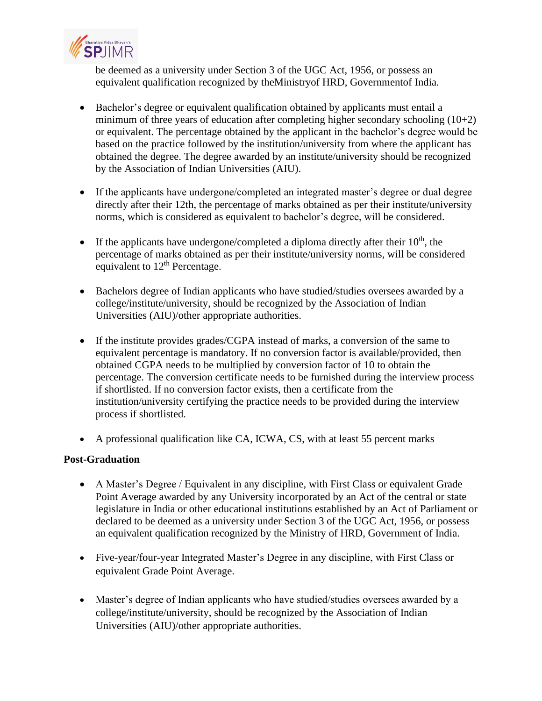

be deemed as a university under Section 3 of the UGC Act, 1956, or possess an equivalent qualification recognized by theMinistryof HRD, Governmentof India.

- Bachelor's degree or equivalent qualification obtained by applicants must entail a minimum of three years of education after completing higher secondary schooling (10+2) or equivalent. The percentage obtained by the applicant in the bachelor's degree would be based on the practice followed by the institution/university from where the applicant has obtained the degree. The degree awarded by an institute/university should be recognized by the Association of Indian Universities (AIU).
- If the applicants have undergone/completed an integrated master's degree or dual degree directly after their 12th, the percentage of marks obtained as per their institute/university norms, which is considered as equivalent to bachelor's degree, will be considered.
- If the applicants have undergone/completed a diploma directly after their  $10<sup>th</sup>$ , the percentage of marks obtained as per their institute/university norms, will be considered equivalent to 12<sup>th</sup> Percentage.
- Bachelors degree of Indian applicants who have studied/studies oversees awarded by a college/institute/university, should be recognized by the Association of Indian Universities (AIU)/other appropriate authorities.
- If the institute provides grades/CGPA instead of marks, a conversion of the same to equivalent percentage is mandatory. If no conversion factor is available/provided, then obtained CGPA needs to be multiplied by conversion factor of 10 to obtain the percentage. The conversion certificate needs to be furnished during the interview process if shortlisted. If no conversion factor exists, then a certificate from the institution/university certifying the practice needs to be provided during the interview process if shortlisted.
- A professional qualification like CA, ICWA, CS, with at least 55 percent marks

## **Post-Graduation**

- A Master's Degree / Equivalent in any discipline, with First Class or equivalent Grade Point Average awarded by any University incorporated by an Act of the central or state legislature in India or other educational institutions established by an Act of Parliament or declared to be deemed as a university under Section 3 of the UGC Act, 1956, or possess an equivalent qualification recognized by the Ministry of HRD, Government of India.
- Five-year/four-year Integrated Master's Degree in any discipline, with First Class or equivalent Grade Point Average.
- Master's degree of Indian applicants who have studied/studies oversees awarded by a college/institute/university, should be recognized by the Association of Indian Universities (AIU)/other appropriate authorities.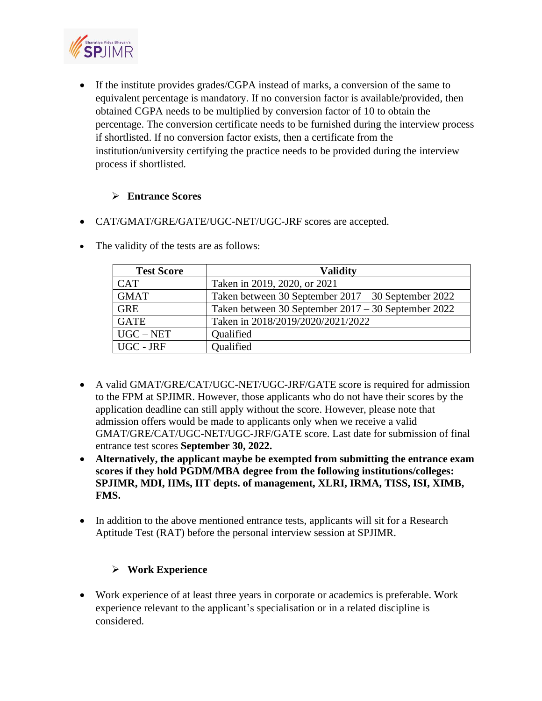

• If the institute provides grades/CGPA instead of marks, a conversion of the same to equivalent percentage is mandatory. If no conversion factor is available/provided, then obtained CGPA needs to be multiplied by conversion factor of 10 to obtain the percentage. The conversion certificate needs to be furnished during the interview process if shortlisted. If no conversion factor exists, then a certificate from the institution/university certifying the practice needs to be provided during the interview process if shortlisted.

## ➢ **Entrance Scores**

• CAT/GMAT/GRE/GATE/UGC-NET/UGC-JRF scores are accepted.

| <b>Test Score</b> | <b>Validity</b>                                     |
|-------------------|-----------------------------------------------------|
| <b>CAT</b>        | Taken in 2019, 2020, or 2021                        |
| <b>GMAT</b>       | Taken between 30 September 2017 – 30 September 2022 |
| <b>GRE</b>        | Taken between 30 September 2017 – 30 September 2022 |
| <b>GATE</b>       | Taken in 2018/2019/2020/2021/2022                   |
| $UGC-NET$         | Qualified                                           |
| UGC - JRF         | <b>Oualified</b>                                    |

• The validity of the tests are as follows:

- A valid GMAT/GRE/CAT/UGC-NET/UGC-JRF/GATE score is required for admission to the FPM at SPJIMR. However, those applicants who do not have their scores by the application deadline can still apply without the score. However, please note that admission offers would be made to applicants only when we receive a valid GMAT/GRE/CAT/UGC-NET/UGC-JRF/GATE score. Last date for submission of final entrance test scores **September 30, 2022.**
- **Alternatively, the applicant maybe be exempted from submitting the entrance exam scores if they hold PGDM/MBA degree from the following institutions/colleges: SPJIMR, MDI, IIMs, IIT depts. of management, XLRI, IRMA, TISS, ISI, XIMB, FMS.**
- In addition to the above mentioned entrance tests, applicants will sit for a Research Aptitude Test (RAT) before the personal interview session at SPJIMR.

# ➢ **Work Experience**

• Work experience of at least three years in corporate or academics is preferable. Work experience relevant to the applicant's specialisation or in a related discipline is considered.